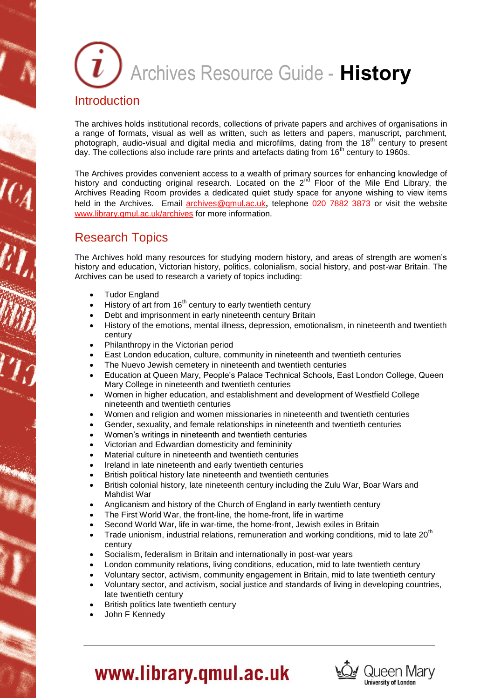# Archives Resource Guide - **History Introduction**

The archives holds institutional records, collections of private papers and archives of organisations in a range of formats, visual as well as written, such as letters and papers, manuscript, parchment, photograph, audio-visual and digital media and microfilms, dating from the 18<sup>th</sup> century to present day. The collections also include rare prints and artefacts dating from  $16<sup>th</sup>$  century to 1960s.

The Archives provides convenient access to a wealth of primary sources for enhancing knowledge of history and conducting original research. Located on the  $2^{nd}$  Floor of the Mile End Library, the Archives Reading Room provides a dedicated quiet study space for anyone wishing to view items held in the Archives. Email [archives@qmul.ac.uk](mailto:archives@qmul.ac.uk), telephone 020 7882 3873 or visit the website [www.library.qmul.ac.uk/archives](http://www.library.qmul.ac.uk/archives) for more information.

### Research Topics

The Archives hold many resources for studying modern history, and areas of strength are women's history and education, Victorian history, politics, colonialism, social history, and post-war Britain. The Archives can be used to research a variety of topics including:

- Tudor England
- History of art from  $16<sup>th</sup>$  century to early twentieth century
- Debt and imprisonment in early nineteenth century Britain
- History of the emotions, mental illness, depression, emotionalism, in nineteenth and twentieth century
- Philanthropy in the Victorian period
- East London education, culture, community in nineteenth and twentieth centuries
- The Nuevo Jewish cemetery in nineteenth and twentieth centuries
- Education at Queen Mary, People's Palace Technical Schools, East London College, Queen Mary College in nineteenth and twentieth centuries
- Women in higher education, and establishment and development of Westfield College nineteenth and twentieth centuries
- Women and religion and women missionaries in nineteenth and twentieth centuries
- Gender, sexuality, and female relationships in nineteenth and twentieth centuries
- Women's writings in nineteenth and twentieth centuries
- Victorian and Edwardian domesticity and femininity
- Material culture in nineteenth and twentieth centuries
- Ireland in late nineteenth and early twentieth centuries
- British political history late nineteenth and twentieth centuries
- British colonial history, late nineteenth century including the Zulu War, Boar Wars and Mahdist War
- Anglicanism and history of the Church of England in early twentieth century
- The First World War, the front-line, the home-front, life in wartime
- Second World War, life in war-time, the home-front, Jewish exiles in Britain
- Trade unionism, industrial relations, remuneration and working conditions, mid to late  $20<sup>th</sup>$ century
- Socialism, federalism in Britain and internationally in post-war years
- London community relations, living conditions, education, mid to late twentieth century
- Voluntary sector, activism, community engagement in Britain, mid to late twentieth century
- Voluntary sector, and activism, social justice and standards of living in developing countries, late twentieth century
- British politics late twentieth century
- John F Kennedy



## www.library.qmul.ac.uk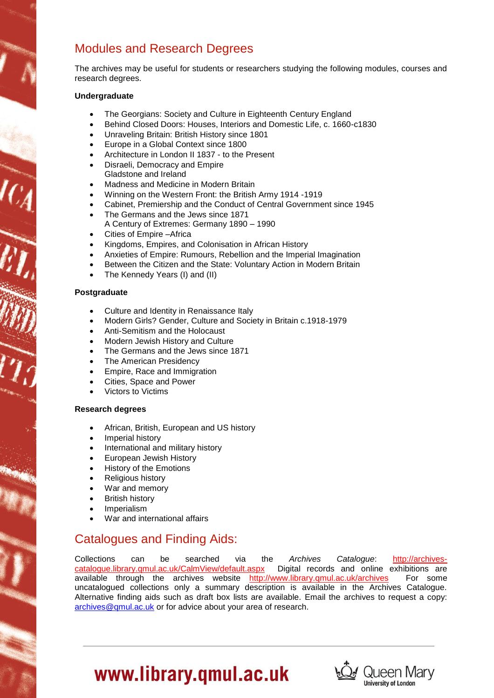## Modules and Research Degrees

The archives may be useful for students or researchers studying the following modules, courses and research degrees.

#### **Undergraduate**

- The Georgians: Society and Culture in Eighteenth Century England
- Behind Closed Doors: Houses, Interiors and Domestic Life, c. 1660-c1830
- Unraveling Britain: British History since 1801
- Europe in a Global Context since 1800
- Architecture in London II 1837 to the Present
- Disraeli, Democracy and Empire Gladstone and Ireland
- Madness and Medicine in Modern Britain
- Winning on the Western Front: the British Army 1914 -1919
- Cabinet, Premiership and the Conduct of Central Government since 1945
- The Germans and the Jews since 1871 A Century of Extremes: Germany 1890 – 1990
- Cities of Empire –Africa
- Kingdoms, Empires, and Colonisation in African History
- Anxieties of Empire: Rumours, Rebellion and the Imperial Imagination
- Between the Citizen and the State: Voluntary Action in Modern Britain
- The Kennedy Years (I) and (II)

#### **Postgraduate**

- Culture and Identity in Renaissance Italy
- Modern Girls? Gender, Culture and Society in Britain c.1918-1979
- Anti-Semitism and the Holocaust
- Modern Jewish History and Culture
- The Germans and the Jews since 1871
- The American Presidency
- Empire, Race and Immigration
- Cities, Space and Power
- Victors to Victims

#### **Research degrees**

- African, British, European and US history
- Imperial history
- International and military history
- European Jewish History
- History of the Emotions
- Religious history
- War and memory
- British history
- Imperialism
- War and international affairs

### Catalogues and Finding Aids:

Collections can be searched via the *Archives Catalogue*: [http://archives](http://archives-catalogue.library.qmul.ac.uk/CalmView/default.aspx)[catalogue.library.qmul.ac.uk/CalmView/default.aspx](http://archives-catalogue.library.qmul.ac.uk/CalmView/default.aspx) Digital records and online exhibitions are available through the archives website <http://www.library.qmul.ac.uk/archives> For some uncatalogued collections only a summary description is available in the Archives Catalogue. Alternative finding aids such as draft box lists are available. Email the archives to request a copy: [archives@qmul.ac.uk](mailto:archives@qmul.ac.uk) or for advice about your area of research.



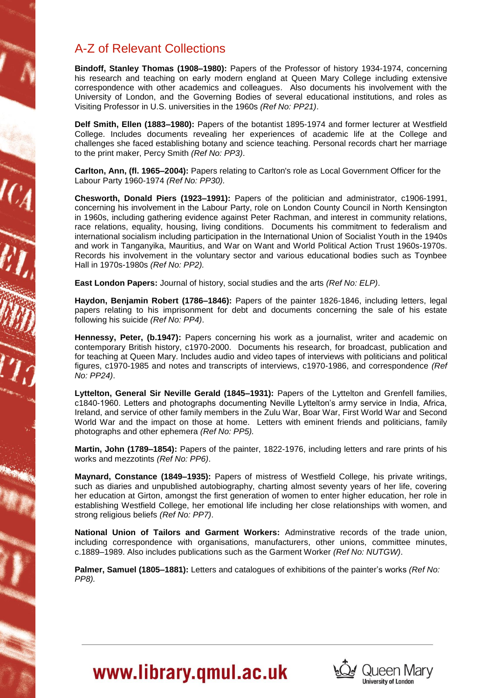## A-Z of Relevant Collections

**Bindoff, Stanley Thomas (1908–1980):** Papers of the Professor of history 1934-1974, concerning his research and teaching on early modern england at Queen Mary College including extensive correspondence with other academics and colleagues. Also documents his involvement with the University of London, and the Governing Bodies of several educational institutions, and roles as Visiting Professor in U.S. universities in the 1960s *(Ref No: PP21)*.

**Delf Smith, Ellen (1883–1980):** Papers of the botantist 1895-1974 and former lecturer at Westfield College. Includes documents revealing her experiences of academic life at the College and challenges she faced establishing botany and science teaching. Personal records chart her marriage to the print maker, Percy Smith *(Ref No: PP3)*.

**Carlton, Ann, (fl. 1965–2004):** Papers relating to Carlton's role as Local Government Officer for the Labour Party 1960-1974 *(Ref No: PP30).*

**Chesworth, Donald Piers (1923–1991):** Papers of the politician and administrator, c1906-1991, concerning his involvement in the Labour Party, role on London County Council in North Kensington in 1960s, including gathering evidence against Peter Rachman, and interest in community relations, race relations, equality, housing, living conditions. Documents his commitment to federalism and international socialism including participation in the International Union of Socialist Youth in the 1940s and work in Tanganyika, Mauritius, and War on Want and World Political Action Trust 1960s-1970s. Records his involvement in the voluntary sector and various educational bodies such as Toynbee Hall in 1970s-1980s *(Ref No: PP2).*

**East London Papers:** Journal of history, social studies and the arts *(Ref No: ELP)*.

**Haydon, Benjamin Robert (1786–1846):** Papers of the painter 1826-1846, including letters, legal papers relating to his imprisonment for debt and documents concerning the sale of his estate following his suicide *(Ref No: PP4)*.

**Hennessy, Peter, (b.1947):** Papers concerning his work as a journalist, writer and academic on contemporary British history, c1970-2000. Documents his research, for broadcast, publication and for teaching at Queen Mary. Includes audio and video tapes of interviews with politicians and political figures, c1970-1985 and notes and transcripts of interviews, c1970-1986, and correspondence *(Ref No: PP24)*.

**Lyttelton, General Sir Neville Gerald (1845–1931):** Papers of the Lyttelton and Grenfell families, c1840-1960. Letters and photographs documenting Neville Lyttelton's army service in India, Africa, Ireland, and service of other family members in the Zulu War, Boar War, First World War and Second World War and the impact on those at home. Letters with eminent friends and politicians, family photographs and other ephemera *(Ref No: PP5).*

**Martin, John (1789–1854):** Papers of the painter, 1822-1976, including letters and rare prints of his works and mezzotints *(Ref No: PP6)*.

**Maynard, Constance (1849–1935):** Papers of mistress of Westfield College, his private writings, such as diaries and unpublished autobiography, charting almost seventy years of her life, covering her education at Girton, amongst the first generation of women to enter higher education, her role in establishing Westfield College, her emotional life including her close relationships with women, and strong religious beliefs *(Ref No: PP7)*.

**National Union of Tailors and Garment Workers:** Adminstrative records of the trade union, including correspondence with organisations, manufacturers, other unions, committee minutes, c.1889–1989. Also includes publications such as the Garment Worker *(Ref No: NUTGW)*.

**Palmer, Samuel (1805–1881):** Letters and catalogues of exhibitions of the painter's works *(Ref No: PP8).*



## www.library.qmul.ac.uk